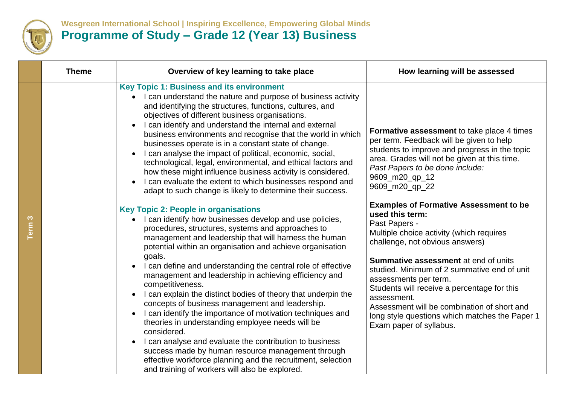

## **Wesgreen International School | Inspiring Excellence, Empowering Global Minds Programme of Study – Grade 12 (Year 13) Business**

|                   | <b>Theme</b> | Overview of key learning to take place                                                                                                                                                                                                                                                                                                                                                                                                                                                                                                                                                                                                                                                                                                                                                                                                                                                                                                      | How learning will be assessed                                                                                                                                                                                                                                                                                                                                                                                                                                                     |
|-------------------|--------------|---------------------------------------------------------------------------------------------------------------------------------------------------------------------------------------------------------------------------------------------------------------------------------------------------------------------------------------------------------------------------------------------------------------------------------------------------------------------------------------------------------------------------------------------------------------------------------------------------------------------------------------------------------------------------------------------------------------------------------------------------------------------------------------------------------------------------------------------------------------------------------------------------------------------------------------------|-----------------------------------------------------------------------------------------------------------------------------------------------------------------------------------------------------------------------------------------------------------------------------------------------------------------------------------------------------------------------------------------------------------------------------------------------------------------------------------|
|                   |              | <b>Key Topic 1: Business and its environment</b><br>I can understand the nature and purpose of business activity<br>and identifying the structures, functions, cultures, and<br>objectives of different business organisations.<br>I can identify and understand the internal and external<br>business environments and recognise that the world in which<br>businesses operate is in a constant state of change.<br>I can analyse the impact of political, economic, social,<br>technological, legal, environmental, and ethical factors and<br>how these might influence business activity is considered.<br>I can evaluate the extent to which businesses respond and<br>adapt to such change is likely to determine their success.                                                                                                                                                                                                      | Formative assessment to take place 4 times<br>per term. Feedback will be given to help<br>students to improve and progress in the topic<br>area. Grades will not be given at this time.<br>Past Papers to be done include:<br>9609_m20_qp_12<br>9609_m20_qp_22                                                                                                                                                                                                                    |
| Term <sub>3</sub> |              | <b>Key Topic 2: People in organisations</b><br>I can identify how businesses develop and use policies,<br>procedures, structures, systems and approaches to<br>management and leadership that will harness the human<br>potential within an organisation and achieve organisation<br>goals.<br>I can define and understanding the central role of effective<br>management and leadership in achieving efficiency and<br>competitiveness.<br>I can explain the distinct bodies of theory that underpin the<br>$\bullet$<br>concepts of business management and leadership.<br>I can identify the importance of motivation techniques and<br>theories in understanding employee needs will be<br>considered.<br>I can analyse and evaluate the contribution to business<br>success made by human resource management through<br>effective workforce planning and the recruitment, selection<br>and training of workers will also be explored. | <b>Examples of Formative Assessment to be</b><br>used this term:<br>Past Papers -<br>Multiple choice activity (which requires<br>challenge, not obvious answers)<br><b>Summative assessment at end of units</b><br>studied. Minimum of 2 summative end of unit<br>assessments per term.<br>Students will receive a percentage for this<br>assessment.<br>Assessment will be combination of short and<br>long style questions which matches the Paper 1<br>Exam paper of syllabus. |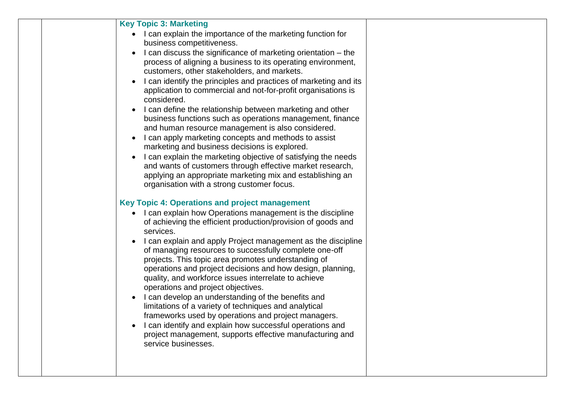| <b>Key Topic 3: Marketing</b>                                                                                          |
|------------------------------------------------------------------------------------------------------------------------|
| I can explain the importance of the marketing function for<br>business competitiveness.                                |
| I can discuss the significance of marketing orientation – the                                                          |
| process of aligning a business to its operating environment,                                                           |
| customers, other stakeholders, and markets.                                                                            |
| I can identify the principles and practices of marketing and its                                                       |
| application to commercial and not-for-profit organisations is                                                          |
| considered.                                                                                                            |
| I can define the relationship between marketing and other<br>business functions such as operations management, finance |
| and human resource management is also considered.                                                                      |
| I can apply marketing concepts and methods to assist                                                                   |
| marketing and business decisions is explored.                                                                          |
| I can explain the marketing objective of satisfying the needs                                                          |
| and wants of customers through effective market research,                                                              |
| applying an appropriate marketing mix and establishing an<br>organisation with a strong customer focus.                |
|                                                                                                                        |
| Key Topic 4: Operations and project management                                                                         |
| I can explain how Operations management is the discipline                                                              |
| of achieving the efficient production/provision of goods and                                                           |
| services.                                                                                                              |
| I can explain and apply Project management as the discipline<br>of managing resources to successfully complete one-off |
| projects. This topic area promotes understanding of                                                                    |
| operations and project decisions and how design, planning,                                                             |
| quality, and workforce issues interrelate to achieve                                                                   |
| operations and project objectives.                                                                                     |
| I can develop an understanding of the benefits and<br>limitations of a variety of techniques and analytical            |
| frameworks used by operations and project managers.                                                                    |
| I can identify and explain how successful operations and                                                               |
| project management, supports effective manufacturing and                                                               |
| service businesses.                                                                                                    |
|                                                                                                                        |
|                                                                                                                        |
|                                                                                                                        |